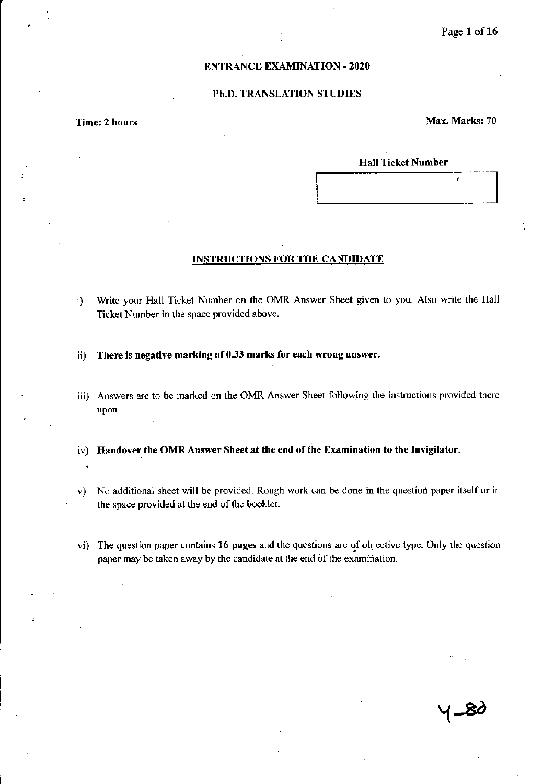### ENTRANCE EXAMINATION - 2020

### Ph.D. TRANSLATION STUDIES

Time: 2 hours Max. Marks: 70

 $\mathbf{r}$ 

#### Hall Ticket Number

- INSTRUCTIONS FOR THE CANDIDATE
- i) Write your Hall Ticket Number on the OMR Answer Sheet given to you. Also write the Hall Ticket Number in the space provided above.
- ii) There is negative marking of 0.33 marks for each wrong answer.
- iii) Answers are to be marked on the OMR Answer Sheet following the instructions provided there upon.
- iv) Handover the OMR Answer Sheet at the end of the Examination to the Invigilator.
- v) No additional sheet will be provided. Rough work can be done in the question paper itself or in the space provided at the end of the booklet.
- vi) The question paper contains 16 pages and the questions are qf objective type. Only the question paper may be taken away by the candidate at the end of the examination.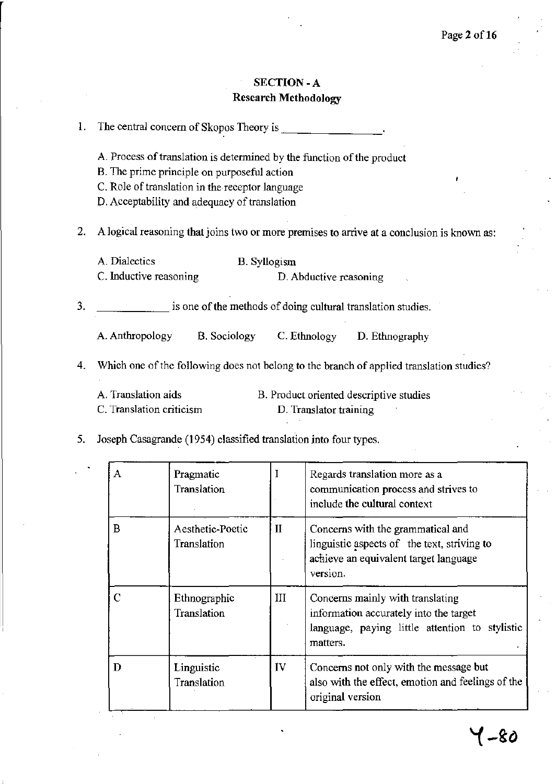# SECTION -A **Research Methodology**

| 1. |                                                                                            |  |  |  |  |
|----|--------------------------------------------------------------------------------------------|--|--|--|--|
|    | A. Process of translation is determined by the function of the product                     |  |  |  |  |
|    | B. The prime principle on purposeful action                                                |  |  |  |  |
|    | C. Role of translation in the receptor language                                            |  |  |  |  |
|    | D. Acceptability and adequacy of translation                                               |  |  |  |  |
| 2. | A logical reasoning that joins two or more premises to arrive at a conclusion is known as: |  |  |  |  |
|    | A. Dialectics<br><b>B.</b> Syllogism                                                       |  |  |  |  |
|    | C. Inductive reasoning<br>D. Abductive reasoning                                           |  |  |  |  |
| 3. | is one of the methods of doing cultural translation studies.                               |  |  |  |  |
|    | A. Anthropology<br><b>B.</b> Sociology<br>C. Ethnology<br>D. Ethnography                   |  |  |  |  |
| 4. | Which one of the following does not belong to the branch of applied translation studies?   |  |  |  |  |
|    | A. Translation aids<br>B. Product oriented descriptive studies                             |  |  |  |  |
|    | C. Translation criticism<br>D. Translator training                                         |  |  |  |  |
| 5. | Joseph Casagrande (1954) classified translation into four types.                           |  |  |  |  |

| Α | Pragmatic<br>Translation        |              | Regards translation more as a<br>communication process and strives to<br>include the cultural context                                    |
|---|---------------------------------|--------------|------------------------------------------------------------------------------------------------------------------------------------------|
| B | Aesthetic-Poetic<br>Translation | $\mathbf{I}$ | Concerns with the grammatical and<br>linguistic aspects of the text, striving to<br>achieve an equivalent target language<br>version.    |
| C | Ethnographic<br>Translation     | III          | Concerns mainly with translating<br>information accurately into the target<br>language, paying little attention to stylistic<br>matters. |
| D | Linguistic<br>Translation       | IV           | Concerns not only with the message but<br>also with the effect, emotion and feelings of the<br>original version                          |

 $\ddot{\phantom{a}}$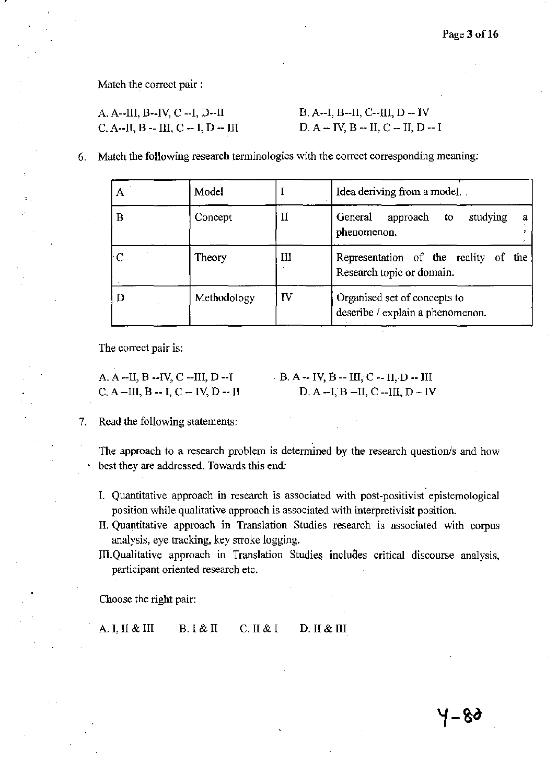4-80

**Match the correct pair:** 

| A. A--III, B--IV, C --I, D--II       | $B. A - I, B - II, C - III, D - IV$ |
|--------------------------------------|-------------------------------------|
| C. A--II, B -- III, C -- I, D -- III | $D. A - IV, B - II, C - II, D - I$  |

**6. Match the following research terminologies with the correct corresponding meaning:** 

|   | Model       |    | Idea deriving from a model                                        |
|---|-------------|----|-------------------------------------------------------------------|
| в | Concept     | П  | General<br>studying<br>approach to<br>а<br>phenomenon.            |
|   | Theory      | Ш  | Representation of the reality of the<br>Research topic or domain. |
| D | Methodology | IV | Organised set of concepts to<br>describe / explain a phenomenon.  |

**The correct pair is:** 

| A. A $-HI$ , B $-HV$ , C $-HII$ , D $-HI$ | - B. A |
|-------------------------------------------|--------|
| $C. A$ --III, $B - I, C - IV, D - II$     |        |

## $-$  IV, B  $-$  III, C  $-$  II, D  $-$  III D. A --I, B --II, C --III, D ~ IV

**7. Read the following statements:** 

The approach to a research problem is determined by the research question/s and how **best they are addressed. Towards this end:** 

- **L Quantitative approach in research is associated with post-positivist epistemological position while qualitative approach is associated with interpretivisit position.**
- **II. Quantitative approach in Translation Studies research is associated with corpus analysis, eye tracking, key stroke logging.**
- IlL Qualitative **approach in Translation Studie& inciuaes critical discourse analysis, participant oriented research etc.**

**Choose the right pair:** 

A. I, II & III B. I & II C. II & I D. II & III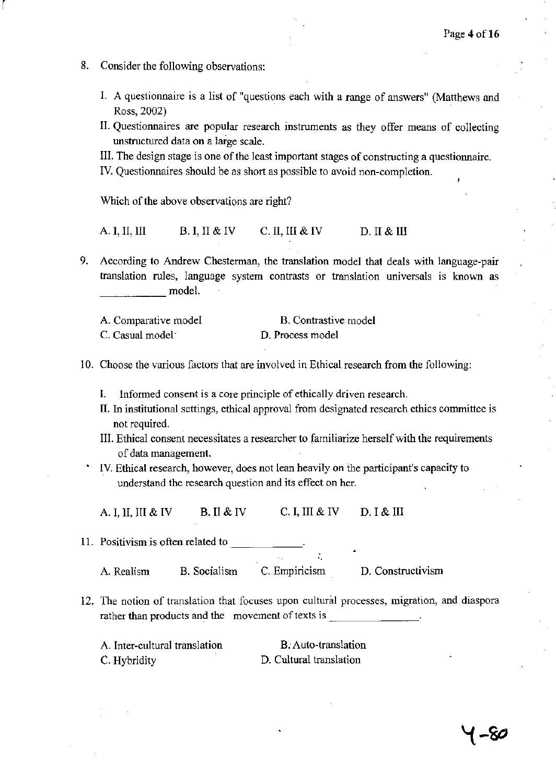8. Consider the following observations:

r

- 1. A questionnaire is a list of "questions each with a range of answers" (Matthews and Ross, 2002)
- II. Questionnaires are popular research instruments as they offer means of collecting unstructured data on a large scale.
- III. The design stage is one of the least important stages of constructing a questionnaire.
- IV. Questionnaires should be as short as possible to avoid non-completion.

Which of the above observations are right?

- A. I, II, III B. I, II & IV C. II, III & IV D. II & III
- 9. According to Andrew Chesterman, the translation model that deals with language-pair translation rules, language system contrasts or translation universals is known as <br>\_\_\_\_\_\_\_\_\_\_\_\_\_\_\_ model.

| A. Comparative model | B. Contrastive model |
|----------------------|----------------------|
| C. Casual model      | D. Process model     |

- 10. Choose the various factors that are involved in Ethical research from the following:
	- I. Infonned consent is a core principle of ethically driven research.
	- II. In institutional settings, ethical approval from designated research ethics committee is not required.
	- III. Ethical consent necessitates a researcher to familiarize herself with the requirements of data management.
	- IV. Ethical research, however, does not lean heavily on the participant's capacity to understand the research question and its effect on her.

A. I, II, III & IV B. II & IV C. I, III & IV D. I & III

11. Positivism is often related to

A. Realism B. Socialism C. Empiricism D. Constructivism

12. The notion of translation that focuses upon cultural processes, migration, and diaspora rather than products and the movement of texts is \_

| A. Inter-cultural translation | B. Auto-translation     |
|-------------------------------|-------------------------|
| C. Hybridity                  | D. Cultural translation |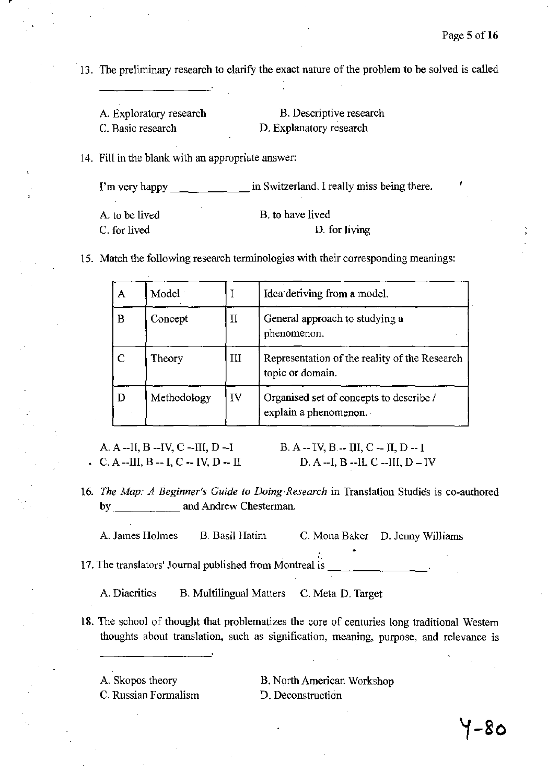13. The preliminary research to clarify the exact nature of the problem to be solved is called

| A. Exploratory research | B. Descriptive research |
|-------------------------|-------------------------|
| C. Basic research       | D. Explanatory research |

14. Fill in the blank with an appropriate answer:

I'm very happy \_\_\_\_\_\_\_\_\_\_\_\_\_ in Switzerland. I really miss being there.

| A. to be lived | B, to have lived |
|----------------|------------------|
| C. for lived   | D. for living    |

15. Match the following research terminologies with their corresponding meanings:

| A             | Model       |             | Idea deriving from a model.                                       |
|---------------|-------------|-------------|-------------------------------------------------------------------|
| B             | Concept     | $\rm _{II}$ | General approach to studying a<br>phenomenon.                     |
| $\mathcal{C}$ | Theory      | Ш           | Representation of the reality of the Research<br>topic or domain. |
| D             | Methodology | IV          | Organised set of concepts to describe /<br>explain a phenomenon.  |

A. A --II, B --IV, C --III, D --I C. A --III, B -- I, C -- IV, D -- II  $B. A - IV, B - III, C - II, D - I$ D. A --I, B --II, C --III, D - IV

*16. The Map: A Beginner's Guide to DOing-Research* in Translation Studies is co-authored by and Andrew Chesterman.

A. James Holmes B. Basil Hatim C. Mona Baker D. Jenny Williams

17. The translators' Journal published from Montreal is  $\frac{1}{2}$ 

A. Diacritics B. Multilingual Matters C. Meta D. Target

- 18. The school of thought that problematizes the core of centuries long traditional Western thoughts about translation, such as signification, meaning, purpose, and relevance is
	- A. Skopos theory C. Russian Formalism

B. North American Workshop D. Deconstruction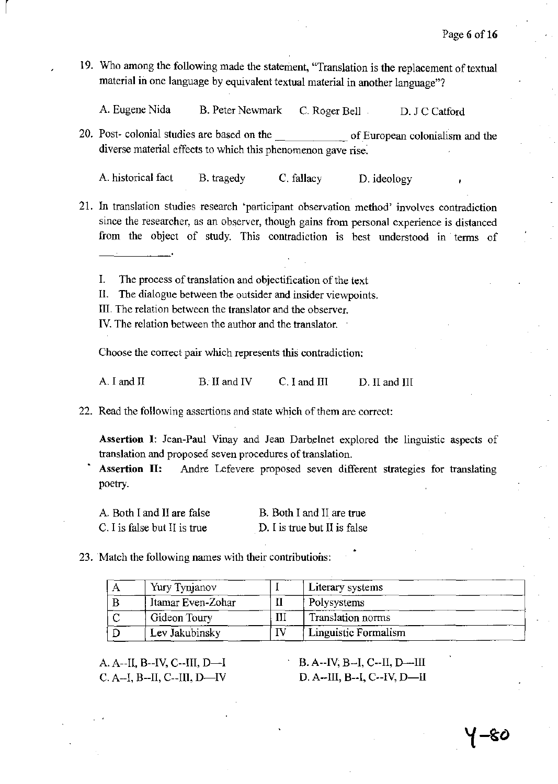19. Who among the following made the statement, "Translation is the replacement of textual material in one language by equivalent textual material in another language"?

A. Eugene Nida B. Peter Newmark C. Roger Bell D. J C Catford

20. Post- colonial studies are based on the \_\_\_\_\_\_ of European colonialism and the diverse material effects to which this phenomenon gave rise.

A. historical fact B. tragedy C. fallacy D. ideology

- 21. In translation studies research "participant observation method' involves contradiction since the researcher, as an observer, though gains from personal experience is distanced from the object of study, This contradiction is best understood in tenns of
	- I. The process of translation and objectification of the text
	- II. The dialogue between the outsider and insider viewpoints.
	- III. The relation between the translator and the observer.

r

IV. The relation between the author and the translator.

Choose the correct pair which represents this contradiction:

A. I and II B. II and IV C. I and III D. II and III

22. Read the following assertions and state which of them are correct:

Assertion I: Jean-Paul Vinay and Jean Darhelnet explored the linguistic aspects of translation and proposed seven procedures of translation.

Assertion II: Andre Lefevere proposed seven different strategies for translating poetry.

A. Both I and II are false C. I is false but II is true B. Both I and II are true D. I is true but II is false

23. Match the following names with their contributions:

| Yury Tynjanov     |     | Literary systems     |
|-------------------|-----|----------------------|
| Itamar Even-Zohar |     | Polysystems          |
| Gideon Toury      | 111 | Translation norms    |
| Lev Jakubinsky    |     | Linguistic Formalism |

A. A--II, B--IV, C--III, D--I C. A--I, B--II, C--III, D--IV

B. A--IV, B--I, C--II, D--III D. A--III, B--I, C--IV, D--II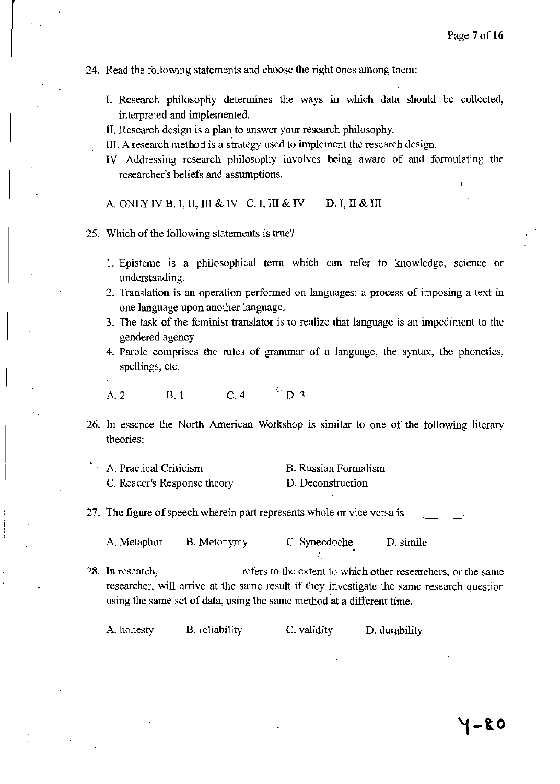### 24. Read the following statements and choose the right ones among them:

- I. Research philosophy determines the ways in which data should be collected, interpreted and implemented.
- II. Research design is a plan to answer your research philosophy.
- III. A research method is a strategy used to implement the research design.
- IV. Addressing research philosophy involves being aware of and formulating the researcher's beliefs and assumptions.

A. ONLY IV B. I, II, III & IV C. I, III & IV D. I, II & III

- 25. Which of the following statements is true?
	- 1. Episteme is a philosophical term which can refer to knowledge, science or understanding.
	- 2. Translation is an operation performed on languages: a process of imposing a text in one language upon another language ..
	- 3. The task of the feminist translator is to realize that language is an impediment to the gendered agency.
	- 4. Parole comprises the rules of grammar of a language, the syntax, the phonetics, spellings, etc.

A.2 B.l C.4 " D.3

26. In essence the North American Workshop is similar to one of the following literary theories:

| A. Practical Criticism      | <b>B.</b> Russian Formalism |
|-----------------------------|-----------------------------|
| C. Reader's Response theory | D. Deconstruction           |

27. The figure of speech wherein part represents whole or vice versa is

A. Metaphor B. Metonymy C. Synecdoche D. simile

28. In research, refers to the extent to which other researchers, or the same researcher, will arrive at the same result if they investigate the same research question using the same set of data, using the same method at a different time.

A. honesty B. reliability C. validity D. durability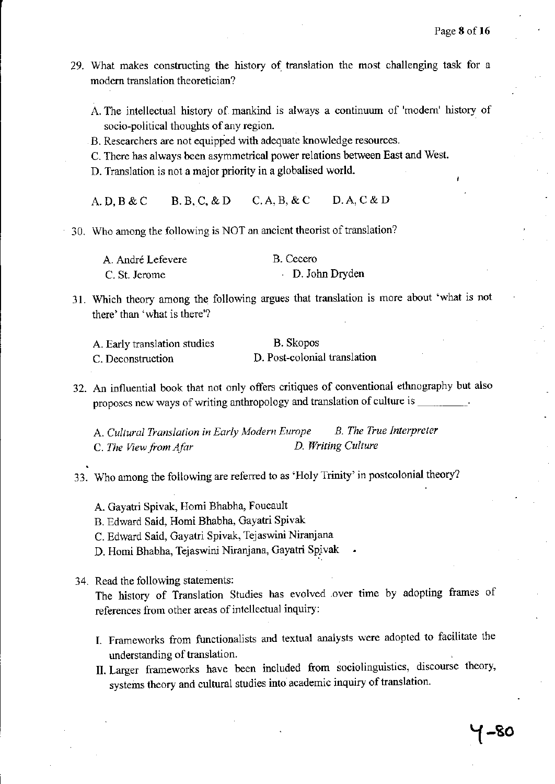- 29. What makes constructing the history of translation the most challenging task for a modem translation theoretician?
	- A. The intellectual history of mankind is always a continuum of 'modem' history of socio-political thoughts of any region.
	- B. Researchers are not equipped with adequate knowledge resources.
	- C. There has always been asymmetrical power relations between East and West.
	- D. Translation is not a major priority in a globalised world.
	- A.D,B&C B.B,C,&D C.A,B, &C D.A,C&D
- 30. Who among the following is NOT an ancient theorist of translation?

| A. André Lefevere | B. Cecero      |
|-------------------|----------------|
| C. St. Jerome     | D. John Dryden |

31. Which theory among the following argues that translation is more about 'what is not there' than 'what is there'?

| A. Early translation studies | <b>B.</b> Skopos             |
|------------------------------|------------------------------|
| C. Deconstruction            | D. Post-colonial translation |

32. An influential book that not only offers critiques of conventional ethnography but also proposes new ways of writing anthropology and translation of culture is \_\_\_\_\_\_\_\_

A. *Cultural Translation in Early Modern Europe B. The True Interpreter*  C. *The View from Ajar D. Writing Culture* 

- 33. Who among the following are referred to as 'Holy Trinity' in postcolonial theory?
	- A. Gayatri Spivak, Homi Bhabha, Foucault
	- B. Edward Said, Homi Bhabha, Gayatri Spivak
	- C. Edward Said, Gayatri Spivak, Tejaswini Niranjana
	- D. Homi Bhabha, Tejaswini Niranjana, Gayatri Spivak
- 34. Read the following statements:

The history of Translation Studies has evolved .over time by adopting frames of references from other areas of intellectual inquiry:

- I. Frameworks from functionalists and textual analysts were adopted to facilitate the understanding of translation.
- II. Larger frameworks have been included from sociolinguistics, discourse theory, systems theory and cultural studies into academic inquiry of translation.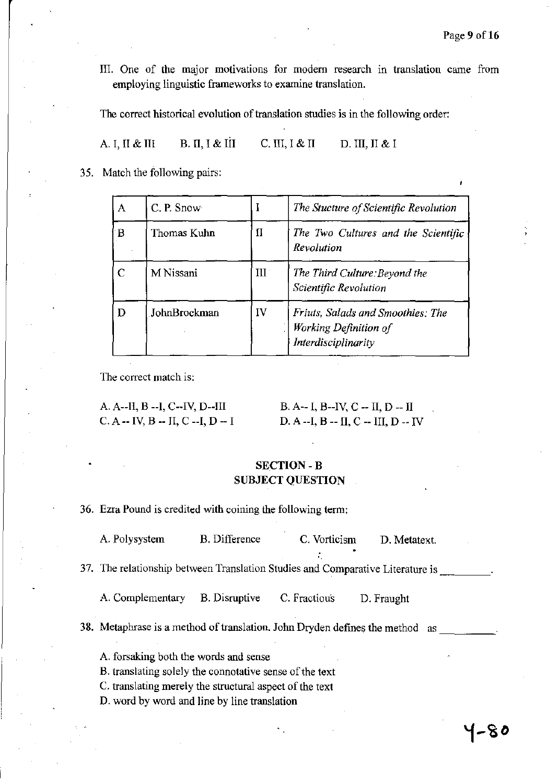III. One of the major motivations for modern research in translation came from employing linguistic frameworks to examine translation.

The correct historical evolution of translation studies is in the following order:

A. I, II & III B. II, I & III C. III, I & II D. III, II & I

35. Match the following pairs:

| А | $C.$ P. Snow |     | The Stucture of Scientific Revolution                                             |
|---|--------------|-----|-----------------------------------------------------------------------------------|
| B | Thomas Kuhn  | II  | The Two Cultures and the Scientific<br>Revolution                                 |
| С | M Nissani    | III | The Third Culture: Beyond the<br>Scientific Revolution                            |
| D | JohnBrockman | IV  | Friuts, Salads and Smoothies: The<br>Working Definition of<br>Interdisciplinarity |

The correct match is:

| A. A--II, B --I, C--IV, D--III    | B. A-- I, B--IV, C -- II, D -- II    |
|-----------------------------------|--------------------------------------|
| $C. A - IV, B - II, C - I, D - I$ | D. A --I, B -- II, C -- III, D -- IV |

## SECTION -B SUBJECT QUESTION

36. Ezra Pound is credited with coining the following term:

| A. Polysystem                                                                                                                                                                                               | <b>B.</b> Difference | C. Vorticism | D. Metatext. |
|-------------------------------------------------------------------------------------------------------------------------------------------------------------------------------------------------------------|----------------------|--------------|--------------|
| 37. The relationship between Translation Studies and Comparative Literature is                                                                                                                              |                      |              |              |
| A. Complementary                                                                                                                                                                                            | <b>B.</b> Disruptive | C. Fractious | D. Fraught   |
| 38. Metaphrase is a method of translation. John Dryden defines the method as                                                                                                                                |                      |              |              |
| A. forsaking both the words and sense<br>B. translating solely the connotative sense of the text<br>C. translating merely the structural aspect of the text<br>D. word by word and line by line translation |                      |              |              |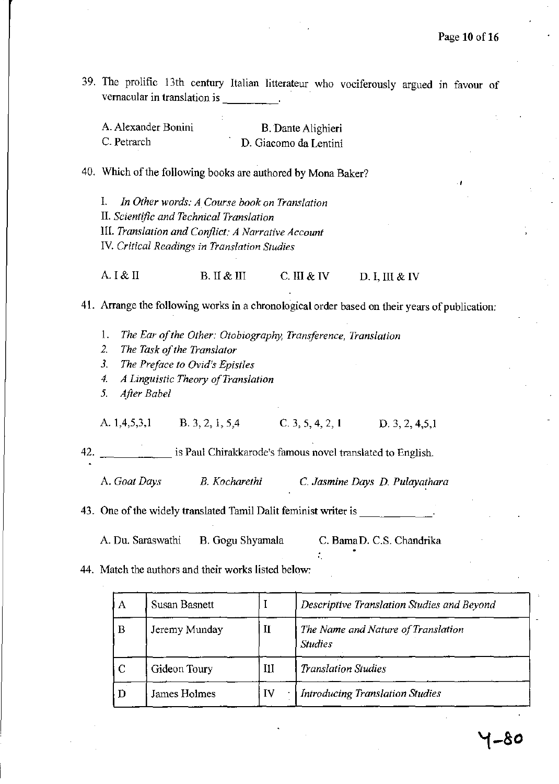39. The prolific 13th century Italian litterateur who vociferously argued III favour of vernacular in translation is \_\_\_\_ \_

| A. Alexander Bonini | B. Dante Alighieri    |
|---------------------|-----------------------|
| C. Petrarch         | D. Giacomo da Lentini |

- 40. Which of the following hooks are authored by Mona Baker?
	- 1. *In Other words: A Course book on Translation*  II. *Scientific and Technical Translation*  III. *Translation and Conflict: A Narrative Account*  IV. *Critical Readings in Translation Studies*

A. I & II B. II & III C. III & IV D. I, III & IV

41. Arrange the following works in a chronological order based on their years of publication:

- 1. *The Ear afthe Other: Otobiography, Transference, Translation*
- *2. The Task of the Translator*
- *3. The Preface to Ovid's Epistles*
- *4. A Linguistic Theory a/Translation*
- *5. After Babel*

A. 1,4,5,3,1 B. 3, 2, 1, 5,4 C. 3, 5, 4, 2, 1 D. 3, 2, 4,5,1

42. \_\_\_\_\_\_ is Paul Chirakkarode's famous novel translated to English.

A. *Goat Days B. Kocharethi* C. *Jasmine Days D. Pulayarhara* 

43. One of the widely translated Tamil Dalit feminist writer is

A. Du. Saraswathi B. Gogu Shyamala C. Bama D. C.S. Chandrika

44. Match the authors and their works listed below:

| A              | Susan Basnett |    | Descriptive Translation Studies and Beyond           |
|----------------|---------------|----|------------------------------------------------------|
| B              | Jeremy Munday | П  | The Name and Nature of Translation<br><b>Studies</b> |
| <sup>-</sup> C | Gideon Toury  | Ш  | <b>Translation Studies</b>                           |
|                | James Holmes  | IV | <b>Introducing Translation Studies</b>               |

'.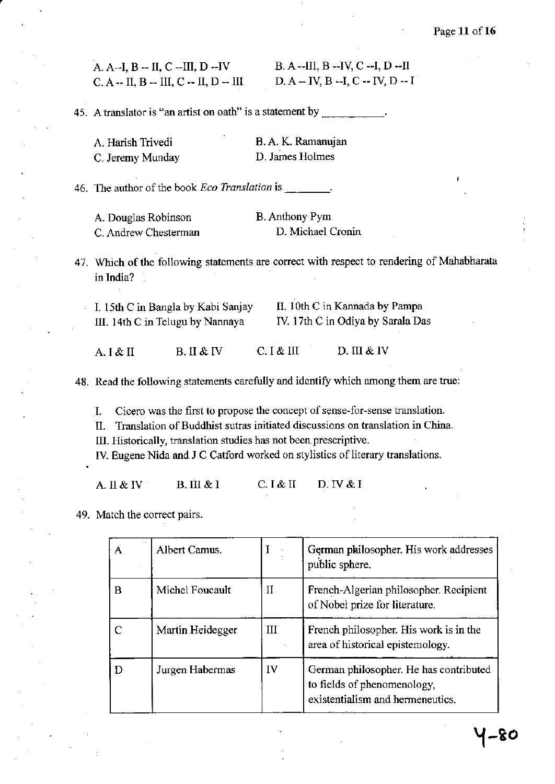A. A--I, B -- II, C --III, D --IV  $C. A - II, B - III, C - II, D - III$  B. A--III, B --IV, C --I, D --II D. A -- IV, B --I, C -- N, D -- I

**45.** A translator is "an artist on oath" is a statement by \_\_\_\_\_\_\_\_\_\_.

| A. Harish Trivedi | B.A.K. Ramanujan |
|-------------------|------------------|
| C. Jeremy Munday  | D. James Holmes  |

**46. The author** of the **book** *Eco Translation* **is** \_\_\_ \_

| A. Douglas Robinson  | <b>B.</b> Anthony Pym |
|----------------------|-----------------------|
| C. Andrew Chesterman | D. Michael Cronin     |

47. Which of the following statements are correct with respect to rendering of Mahabharata **in India?** 

| I. 15th C in Bangla by Kabi Sanjay | II. 10th C in Kannada by Pampa    |
|------------------------------------|-----------------------------------|
| III. 14th C in Telugu by Nannaya   | IV. 17th C in Odiya by Sarala Das |

A. I & II B. II & IV C. I & III D.III & IV

**48. Read the following statements carefully and identify which among them are true:** 

**L Cicero was the first to propose the concept of sense-for-sense translation.** 

**II. Translation** of Buddhist **sutras initiated discussions on translation in China.** 

**III. Historically, translation studies has not been.prescriptive.** 

**IY. Eugene Nida and J C Catford worked on stylistics** of literary **translations.** 

A. II & IV B. III & I C. I & II D. IV & I

**49. Match the correct pairs.** 

| А | Albert Camus.    |    | German philosopher. His work addresses<br>public sphere.                                                  |
|---|------------------|----|-----------------------------------------------------------------------------------------------------------|
| B | Michel Foucault  | и  | French-Algerian philosopher. Recipient<br>of Nobel prize for literature.                                  |
|   | Martin Heidegger | Ш  | French philosopher. His work is in the<br>area of historical epistemology.                                |
| D | Jurgen Habermas  | IV | German philosopher. He has contributed<br>to fields of phenomenology,<br>existentialism and hermeneutics. |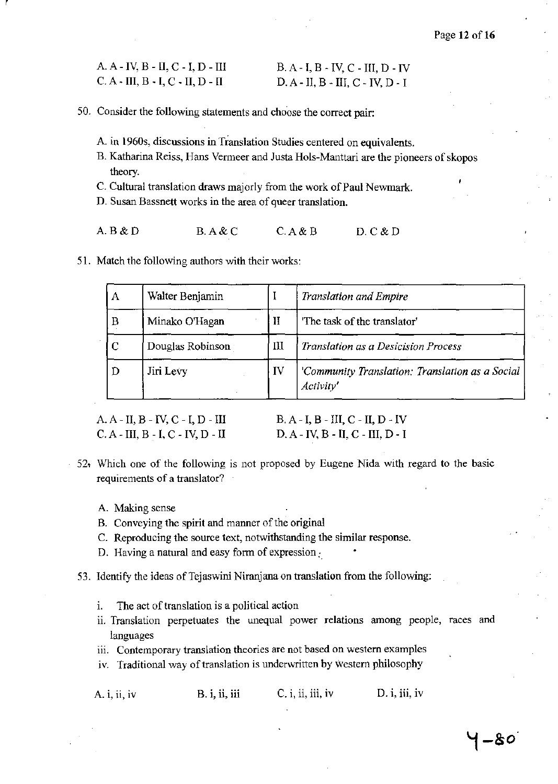| A. A - IV, B - II, C - I, D - III | $B. A - I, B - IV, C - III, D - IV$ |
|-----------------------------------|-------------------------------------|
| C. A - III, B - I, C - II, D - II | $D. A - II, B - III, C - IV, D - I$ |

- 50. Consider the following statements and choose the correct pair:
	- A. in 1960s, discussions in Translation Studies centered on equivalents.
	- B. Katharina Reiss, Hans Venneer and Justa Hols-Manttari are the pioneers of skopos theory.
	- C. Cultural translation draws majorly from the work of Paul Newmark.
	- D. Susan Bassnett works in the area of queer translation.
	- A.B&D B.A&C C.A&B D.C&D
- 51. Match the following authors with their works:

| A           | Walter Benjamin  |    | <b>Translation and Empire</b>                                |
|-------------|------------------|----|--------------------------------------------------------------|
| B           | Minako O'Hagan   | H  | 'The task of the translator'                                 |
| $\mathbf C$ | Douglas Robinson | Ш  | Translation as a Desicision Process                          |
| D           | Jiri Levy        | IV | 'Community Translation: Translation as a Social<br>Activity' |

A.A- II,B - IV, C - I,D - III C.A- III, B-1, C - IV, D - II

B.A-I, B -III, C - II, D-IV D.A- IV, B -II, C - III, D- I

- 52~ Which one of the following is not proposed by Eugene Nida with regard to the basic requirements of a translator?
	- A. Making sense

r

- B. Conveying the spirit and manner of the original
- C. Reproducing the source text, notwithstanding the similar response.
- D. Having a natural and easy form of expression $\cdot$ .
- 53. Identify the ideas of Tejaswini Niranjana on translation from the following:
	- 1. The act of translation is a political action
	- ii. Translation perpetuates the unequal power relations among people, races and languages
	- iii. Contemporary translation theories are not based on western examples
	- iv. Traditional way of translation is underwritten by western philosophy

| A. i, ii, iv |  | B. i, ii, iii | $C_i$ , ii, iii, iv | D. i, ii, iv |
|--------------|--|---------------|---------------------|--------------|
|--------------|--|---------------|---------------------|--------------|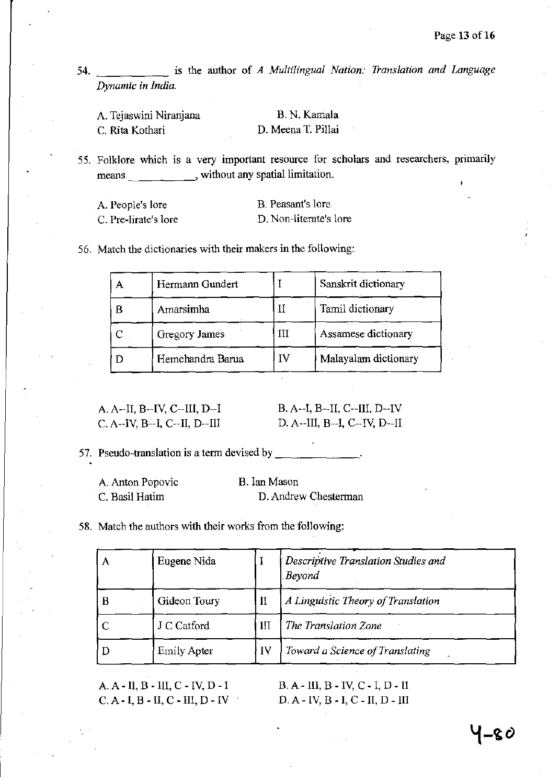**54. is the author of** *A Multilingual Nation: Translation and Language Dynamic in India.* 

| A. Tejaswini Niranjana | B. N. Kamala       |
|------------------------|--------------------|
| C. Rita Kothari        | D. Meena T. Pillai |

**55. Folklore which is a very important resource for scholars and researchers, primarily**  means **container in the set of the set of the set of the set of the set of the set of the set of the set of the set of the set of the set of the set of the set of the set of the set of the set of the set of the set of the** 

| A. People's lore     | B. Peasant's lore      |
|----------------------|------------------------|
| C. Pre-lirate's lore | D. Non-literate's lore |

**56. Match the dictionaries with their makers in the following:** 

|   | Hermann Gundert  |    | Sanskrit dictionary  |
|---|------------------|----|----------------------|
| B | Amarsimha        |    | Tamil dictionary     |
|   | Gregory James    |    | Assamese dictionary  |
|   | Hemchandra Barua | IV | Malayalam dictionary |

A. A--II, B--IV, C--III, D--I C. A --IV, B--I, C--II, D--III B. A--I, B--II, C--III, D--IV D. A--III, B--I, C--IV, D--II

57. Pseudo-translation is a term devised by \_\_\_\_\_\_\_\_\_\_\_\_\_\_.

| A. Anton Popovic | B. Ian Mason         |
|------------------|----------------------|
| C. Basil Hatim   | D. Andrew Chesterman |

**58. Match the authors with their works from the following:** 

| А | Eugene Nida        |          | Descriptive Translation Studies and<br>. Beyond |
|---|--------------------|----------|-------------------------------------------------|
| В | Gideon Toury       | $\rm II$ | A Linguistic Theory of Translation              |
|   | J C Catford        | Ш        | The Translation Zone                            |
|   | <b>Emily Apter</b> | IV       | Toward a Science of Translating                 |

A.A-II,B -III, C -IV, D - I  $C. A - I, B - II, C - III, D - IV$ 

B. A - III, B - IV, C - I, D - II D.A- IV, B-1, C - II, D - III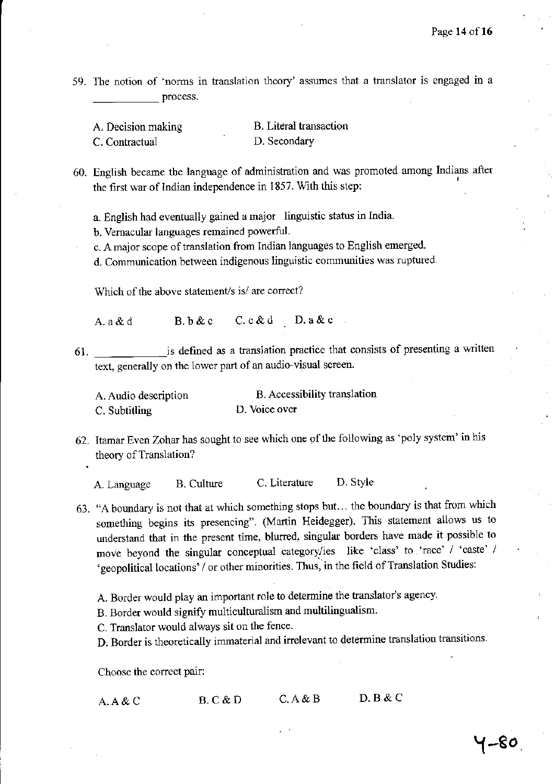59. The notion of 'norms in translation theory' assumes that a translator is engaged in a process.

A. Decision making C. Contractual B. Literal transaction D. Secondary

60. English became the language of administration and was promoted among Indians after the first war of Indian independence in 1857. With this step:

a. English had eventually gained a major linguistic status in India.

b. Vernacular languages remained powerful.

c. A major scope of translation from Indian languages to English emerged.

d. Communication between indigenous linguistic communities was ruptured.

Which of the above statement/s is/ are correct?

A.a&d B. b&c C.c&d D.a&c

61. \_\_\_\_\_\_ ,is defined as a translation practice that consists of presenting a written text, generally on the lower part of an audio-visual screen.

| A. Audio description | B. Accessibility translation |
|----------------------|------------------------------|
| C. Subtitling        | D. Voice over                |

62. Itamar Even Zohar has sought to see which one of the following as 'poly system' in his theory of Translation?

A. Language B. Culture C. Literature D. Style

- 63. "A boundary is not that at which something stops but. .. the boundary is that from which something begins its presencing". (Martin Heidegger). This statement allows us to understand that in the present time, blurred, singular borders have made it possible to move beyond the singular conceptual category/ies like 'class' to 'race' / 'caste' / 'geopolitical locations' / or other minorities. Thus, in the field of Translation Studies:
	- A. Border would play an important role to determine the translator's agency.
	- B. Border would signify multiculturalism and multilingualism.

C. Translator would always sit on the fence.

D. Border is theoretically immaterial and irrelevant to determine translation transitions.

Choose the correct pair:

| A. A & C | B.C & D | C. A & B | D. B & C |
|----------|---------|----------|----------|
|          |         |          |          |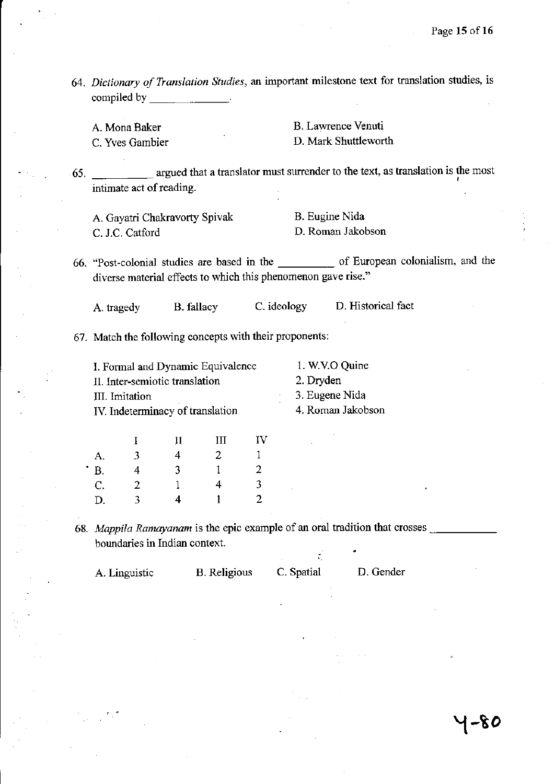*64. Dictionary of Translation Studies,* an important milestone text for translation studies, is compiled by \_\_\_\_\_ \_

A. Mona Baker

C. Yves Gambier

B. Lawrence Venuti D. Mark Shuttleworth

65. **argued that a translator must surrender to the text, as translation is the most** intimate act of reading.

A. Gayatri Chakravorty Spivak C. J.C. Catford

B. Eugine Nida D. Roman Jakobson

66. "Post-colonial studies are based in the \_\_\_\_\_ of European colonialism, and the diverse material effects to which this phenomenon gave rise."

A. tragedy B. fallacy C. ideology D. Historical fact

67. Match the following concepts with their proponents:

| I. Formal and Dynamic Equivalence | 1. W.V.O Quine    |
|-----------------------------------|-------------------|
| II. Inter-semiotic translation    | 2. Dryden         |
| III. Imitation                    | 3. Eugene Nida    |
| IV. Indeterminacy of translation  | 4. Roman Jakobson |

|           |   | П | Ш | IV |
|-----------|---|---|---|----|
| А.        | 3 | 4 | 2 |    |
| <b>B.</b> | 4 | 3 |   | 2  |
| C.        | 2 |   | 4 | 3  |
| D.        | ٦ | 4 |   | 2  |

. .

68. Mappila Ramayanam is the epic example of an oral tradition that crosses boundaries in Indian context.

| C. Spatial | D. Gender |
|------------|-----------|
|            |           |